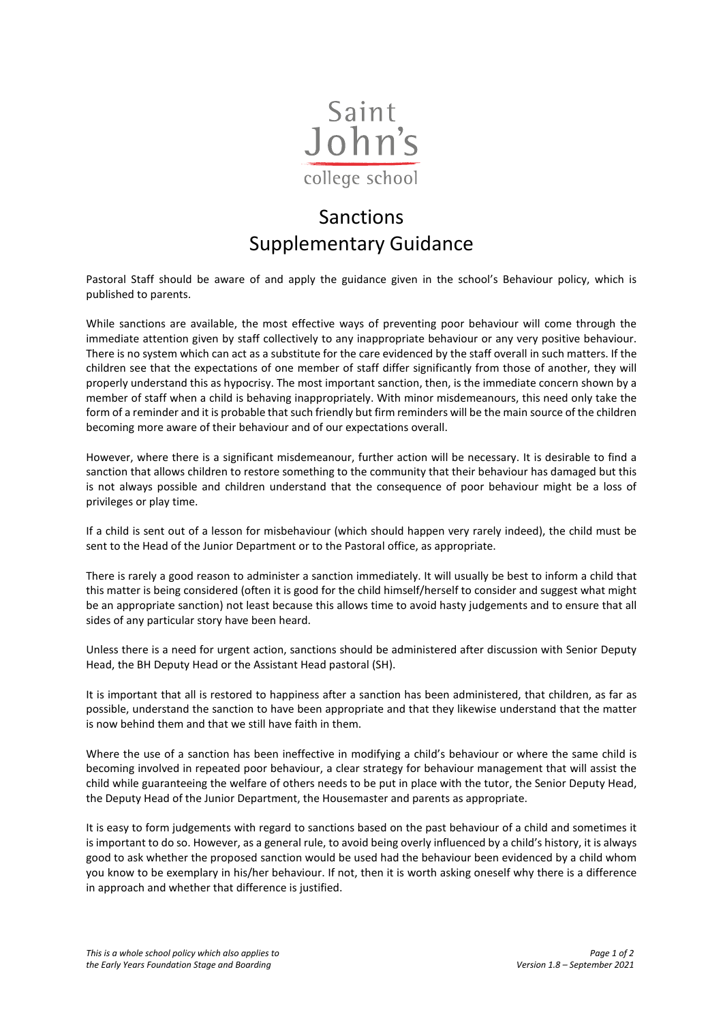

# Sanctions Supplementary Guidance

Pastoral Staff should be aware of and apply the guidance given in the school's Behaviour policy, which is published to parents.

While sanctions are available, the most effective ways of preventing poor behaviour will come through the immediate attention given by staff collectively to any inappropriate behaviour or any very positive behaviour. There is no system which can act as a substitute for the care evidenced by the staff overall in such matters. If the children see that the expectations of one member of staff differ significantly from those of another, they will properly understand this as hypocrisy. The most important sanction, then, is the immediate concern shown by a member of staff when a child is behaving inappropriately. With minor misdemeanours, this need only take the form of a reminder and it is probable that such friendly but firm reminders will be the main source of the children becoming more aware of their behaviour and of our expectations overall.

However, where there is a significant misdemeanour, further action will be necessary. It is desirable to find a sanction that allows children to restore something to the community that their behaviour has damaged but this is not always possible and children understand that the consequence of poor behaviour might be a loss of privileges or play time.

If a child is sent out of a lesson for misbehaviour (which should happen very rarely indeed), the child must be sent to the Head of the Junior Department or to the Pastoral office, as appropriate.

There is rarely a good reason to administer a sanction immediately. It will usually be best to inform a child that this matter is being considered (often it is good for the child himself/herself to consider and suggest what might be an appropriate sanction) not least because this allows time to avoid hasty judgements and to ensure that all sides of any particular story have been heard.

Unless there is a need for urgent action, sanctions should be administered after discussion with Senior Deputy Head, the BH Deputy Head or the Assistant Head pastoral (SH).

It is important that all is restored to happiness after a sanction has been administered, that children, as far as possible, understand the sanction to have been appropriate and that they likewise understand that the matter is now behind them and that we still have faith in them.

Where the use of a sanction has been ineffective in modifying a child's behaviour or where the same child is becoming involved in repeated poor behaviour, a clear strategy for behaviour management that will assist the child while guaranteeing the welfare of others needs to be put in place with the tutor, the Senior Deputy Head, the Deputy Head of the Junior Department, the Housemaster and parents as appropriate.

It is easy to form judgements with regard to sanctions based on the past behaviour of a child and sometimes it is important to do so. However, as a general rule, to avoid being overly influenced by a child's history, it is always good to ask whether the proposed sanction would be used had the behaviour been evidenced by a child whom you know to be exemplary in his/her behaviour. If not, then it is worth asking oneself why there is a difference in approach and whether that difference is justified.